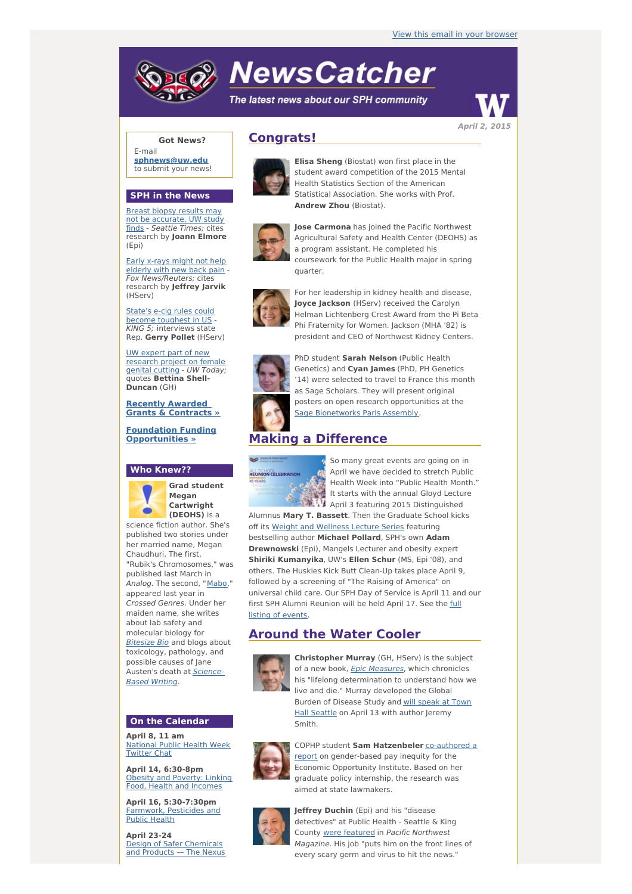# **NewsCatcher**

The latest news about our SPH community



**Got News?**

E-mail **[sphnews@uw.edu](mailto:sphnews@uw.edu)** to submit your news!

#### **SPH in the News**

Breast biopsy results may not be [accurate,](http://engage.washington.edu/site/R?i=99MmNK1iagS7HpRfJYG6NQ) UW study finds - Seattle Times; cites research by **Joann Elmore** (Epi)

Early x-rays might not help [elderly](http://engage.washington.edu/site/R?i=Mi09jkXrQCM9LI5d132T1g) with new back pain - Fox News/Reuters; cites research by **Jeffrey Jarvik** (HServ)

State's e-cig rules could become [toughest](http://engage.washington.edu/site/R?i=cl_plKhKWjn63zxg4WGuHQ) in US - KING 5; interviews state Rep. **Gerry Pollet** (HServ)

UW expert part of new [research](http://engage.washington.edu/site/R?i=3zMyQJP6WFFqFum67fu_qg) project on female genital cutting - UW Today; quotes **Bettina Shell-Duncan** (GH)

#### **Recently Awarded Grants & [Contracts](http://engage.washington.edu/site/R?i=EfF2y4SQ2q1hSIZxxzQ0VA) »**

**Foundation Funding [Opportunities](http://engage.washington.edu/site/R?i=NALh1FCjMEdVnnXpuHhyTw) »**

## **Who Knew??**



**Grad student Megan Cartwright (DEOHS)** is a

science fiction author. She's published two stories under her married name, Megan Chaudhuri. The first, "Rubik's Chromosomes," was published last March in Analog. The second, "[Mabo](http://engage.washington.edu/site/R?i=EqkLkphLcizOI9qRFNvp2Q)," appeared last year in Crossed Genres. Under her maiden name, she writes about lab safety and molecular biology for **[Bitesize](http://engage.washington.edu/site/R?i=D8ljagY2kteGRDwJsx-BzA) Bio** and blogs about toxicology, pathology, and possible causes of Jane .<br>[Austen's](http://engage.washington.edu/site/R?i=DgjZD3cC6s9nisxPeurXpg) death at **Science-**Based Writing.

### **On the Calendar**

**April 8, 11 am** [National](http://engage.washington.edu/site/R?i=MXaFLl-RVa89qZo6qhM8sg) Public Health Week **Twitter Chat** 

**April 14, 6:30-8pm** Obesity and [Poverty:](http://engage.washington.edu/site/R?i=N4O-NxW4KEZ3v_DSXVh-XA) Linking Food, Health and Incomes

**April 16, 5:30-7:30pm** [Farmwork,](http://engage.washington.edu/site/R?i=W5X_39T7JVVySIbwr_xklA) Pesticides and Public Health

**April 23-24** Design of Safer [Chemicals](http://engage.washington.edu/site/R?i=lJK6r5vLvIIVBLptv8_2Vw) and Products — The Nexus

# **Congrats!**



**Elisa Sheng** (Biostat) won first place in the student award competition of the 2015 Mental Health Statistics Section of the American Statistical Association. She works with Prof. **Andrew Zhou** (Biostat).



**Jose Carmona** has joined the Pacific Northwest Agricultural Safety and Health Center (DEOHS) as a program assistant. He completed his coursework for the Public Health major in spring quarter.



For her leadership in kidney health and disease, **Joyce Jackson** (HServ) received the Carolyn Helman Lichtenberg Crest Award from the Pi Beta Phi Fraternity for Women. Jackson (MHA '82) is president and CEO of Northwest Kidney Centers.



PhD student **Sarah Nelson** (Public Health Genetics) and **Cyan James** (PhD, PH Genetics '14) were selected to travel to France this month as Sage Scholars. They will present original posters on open research opportunities at the Sage [Bionetworks](http://engage.washington.edu/site/R?i=4CikwvZfDcXqCFUi9zO9QA) Paris Assembly.

## **Making a Difference**



So many great events are going on in April we have decided to stretch Public Health Week into "Public Health Month." It starts with the annual Gloyd Lecture April 3 featuring 2015 Distinguished

Alumnus **Mary T. Bassett**. Then the Graduate School kicks off its Weight and [Wellness](http://engage.washington.edu/site/R?i=6sYr5oukm4Dp9lURw7ZG7Q) Lecture Series featuring bestselling author **Michael Pollard**, SPH's own **Adam Drewnowski** (Epi), Mangels Lecturer and obesity expert **Shiriki Kumanyika**, UW's **Ellen Schur** (MS, Epi '08), and others. The Huskies Kick Butt Clean-Up takes place April 9, followed by a screening of "The Raising of America" on universal child care. Our SPH Day of Service is April 11 and our first SPH Alumni [Reunion](http://engage.washington.edu/site/R?i=tRXuypIo44o_u3uObu_TcQ) will be held April 17. See the full listing of events.

# **Around the Water Cooler**



**Christopher Murray** (GH, HServ) is the subject of a new book, Epic [Measures](http://engage.washington.edu/site/R?i=2K3S03N5vftdarNCKgW_xw), which chronicles his "lifelong determination to understand how we live and die." Murray developed the Global Burden of [Disease](http://engage.washington.edu/site/R?i=Vx8frYGKU_I5g81LCdb6Kg) Study and will speak at Town Hall Seattle on April 13 with author Jeremy Smith.



COPHP student **Sam [Hatzenbeler](http://engage.washington.edu/site/R?i=HV9Q7RiQETS1CkwQuSK9fg)** co-authored a report on gender-based pay inequity for the Economic Opportunity Institute. Based on her graduate policy internship, the research was aimed at state lawmakers.



**Jeffrey Duchin** (Epi) and his "disease detectives" at Public Health - Seattle & King County were [featured](http://engage.washington.edu/site/R?i=a_-1gcT3IBiWPmKYAD19sw) in Pacific Northwest Magazine. His job "puts him on the front lines of every scary germ and virus to hit the news."